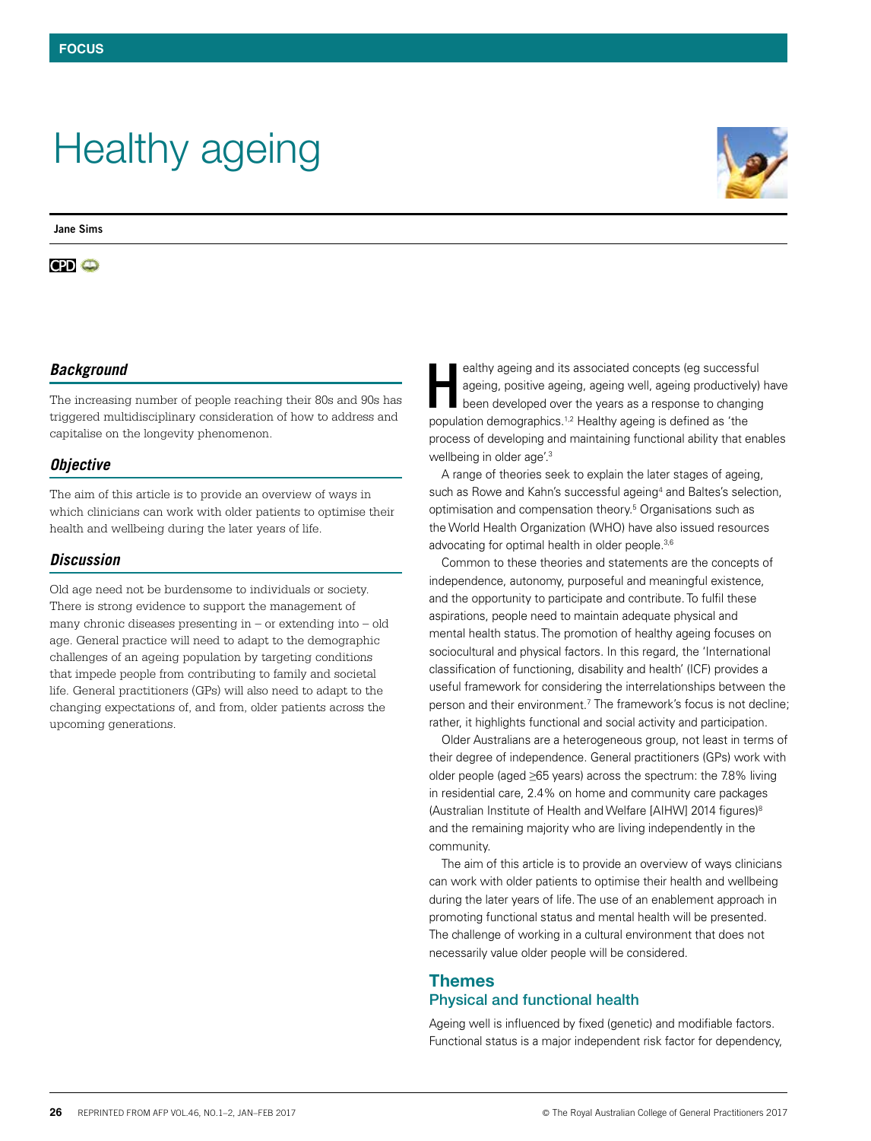# Healthy ageing

**Jane Sims**

## **CPI** ©



## *Background*

The increasing number of people reaching their 80s and 90s has triggered multidisciplinary consideration of how to address and capitalise on the longevity phenomenon.

### *Objective*

The aim of this article is to provide an overview of ways in which clinicians can work with older patients to optimise their health and wellbeing during the later years of life.

### *Discussion*

Old age need not be burdensome to individuals or society. There is strong evidence to support the management of many chronic diseases presenting in – or extending into – old age. General practice will need to adapt to the demographic challenges of an ageing population by targeting conditions that impede people from contributing to family and societal life. General practitioners (GPs) will also need to adapt to the changing expectations of, and from, older patients across the upcoming generations.

ealthy ageing and its associated concepts (eg successful ageing, positive ageing, ageing well, ageing productively) have been developed over the years as a response to changing population demographics.1,2 Healthy ageing is defined as 'the process of developing and maintaining functional ability that enables wellbeing in older age'.3 H

A range of theories seek to explain the later stages of ageing, such as Rowe and Kahn's successful ageing<sup>4</sup> and Baltes's selection, optimisation and compensation theory.5 Organisations such as the World Health Organization (WHO) have also issued resources advocating for optimal health in older people.<sup>3,6</sup>

Common to these theories and statements are the concepts of independence, autonomy, purposeful and meaningful existence, and the opportunity to participate and contribute. To fulfil these aspirations, people need to maintain adequate physical and mental health status. The promotion of healthy ageing focuses on sociocultural and physical factors. In this regard, the 'International classification of functioning, disability and health' (ICF) provides a useful framework for considering the interrelationships between the person and their environment.<sup>7</sup> The framework's focus is not decline; rather, it highlights functional and social activity and participation.

Older Australians are a heterogeneous group, not least in terms of their degree of independence. General practitioners (GPs) work with older people (aged ≥65 years) across the spectrum: the 7.8% living in residential care, 2.4% on home and community care packages (Australian Institute of Health and Welfare [AIHW] 2014 figures)8 and the remaining majority who are living independently in the community.

The aim of this article is to provide an overview of ways clinicians can work with older patients to optimise their health and wellbeing during the later years of life. The use of an enablement approach in promoting functional status and mental health will be presented. The challenge of working in a cultural environment that does not necessarily value older people will be considered.

# Themes Physical and functional health

Ageing well is influenced by fixed (genetic) and modifiable factors. Functional status is a major independent risk factor for dependency,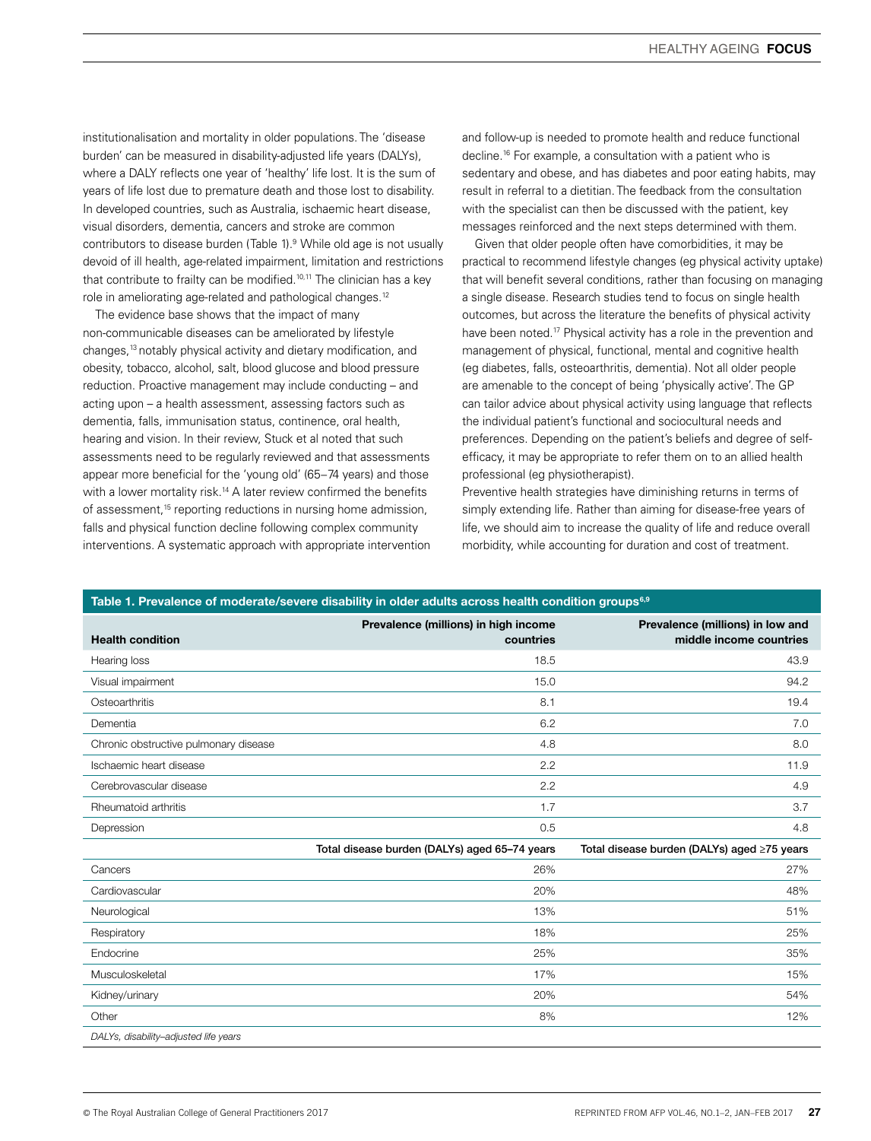institutionalisation and mortality in older populations. The 'disease burden' can be measured in disability-adjusted life years (DALYs), where a DALY reflects one year of 'healthy' life lost. It is the sum of years of life lost due to premature death and those lost to disability. In developed countries, such as Australia, ischaemic heart disease, visual disorders, dementia, cancers and stroke are common contributors to disease burden (Table 1).<sup>9</sup> While old age is not usually devoid of ill health, age-related impairment, limitation and restrictions that contribute to frailty can be modified.<sup>10,11</sup> The clinician has a key role in ameliorating age-related and pathological changes.<sup>12</sup>

The evidence base shows that the impact of many non-communicable diseases can be ameliorated by lifestyle changes,13 notably physical activity and dietary modification, and obesity, tobacco, alcohol, salt, blood glucose and blood pressure reduction. Proactive management may include conducting – and acting upon – a health assessment, assessing factors such as dementia, falls, immunisation status, continence, oral health, hearing and vision. In their review, Stuck et al noted that such assessments need to be regularly reviewed and that assessments appear more beneficial for the 'young old' (65−74 years) and those with a lower mortality risk.<sup>14</sup> A later review confirmed the benefits of assessment,<sup>15</sup> reporting reductions in nursing home admission, falls and physical function decline following complex community interventions. A systematic approach with appropriate intervention and follow-up is needed to promote health and reduce functional decline.16 For example, a consultation with a patient who is sedentary and obese, and has diabetes and poor eating habits, may result in referral to a dietitian. The feedback from the consultation with the specialist can then be discussed with the patient, key messages reinforced and the next steps determined with them.

Given that older people often have comorbidities, it may be practical to recommend lifestyle changes (eg physical activity uptake) that will benefit several conditions, rather than focusing on managing a single disease. Research studies tend to focus on single health outcomes, but across the literature the benefits of physical activity have been noted.<sup>17</sup> Physical activity has a role in the prevention and management of physical, functional, mental and cognitive health (eg diabetes, falls, osteoarthritis, dementia). Not all older people are amenable to the concept of being 'physically active'. The GP can tailor advice about physical activity using language that reflects the individual patient's functional and sociocultural needs and preferences. Depending on the patient's beliefs and degree of selfefficacy, it may be appropriate to refer them on to an allied health professional (eg physiotherapist).

Preventive health strategies have diminishing returns in terms of simply extending life. Rather than aiming for disease-free years of life, we should aim to increase the quality of life and reduce overall morbidity, while accounting for duration and cost of treatment.

#### Table 1. Prevalence of moderate/severe disability in older adults across health condition groups<sup>6,9</sup>

| <b>Health condition</b>               | Prevalence (millions) in high income<br>countries | Prevalence (millions) in low and<br>middle income countries |
|---------------------------------------|---------------------------------------------------|-------------------------------------------------------------|
| Hearing loss                          | 18.5                                              | 43.9                                                        |
| Visual impairment                     | 15.0                                              | 94.2                                                        |
| Osteoarthritis                        | 8.1                                               | 19.4                                                        |
| Dementia                              | 6.2                                               | 7.0                                                         |
| Chronic obstructive pulmonary disease | 4.8                                               | 8.0                                                         |
| Ischaemic heart disease               | 2.2                                               | 11.9                                                        |
| Cerebrovascular disease               | 2.2                                               | 4.9                                                         |
| Rheumatoid arthritis                  | 1.7                                               | 3.7                                                         |
| Depression                            | 0.5                                               | 4.8                                                         |
|                                       | Total disease burden (DALYs) aged 65-74 years     | Total disease burden (DALYs) aged ≥75 years                 |
| Cancers                               | 26%                                               | 27%                                                         |
| Cardiovascular                        | 20%                                               | 48%                                                         |
| Neurological                          | 13%                                               | 51%                                                         |
| Respiratory                           | 18%                                               | 25%                                                         |
| Endocrine                             | 25%                                               | 35%                                                         |
| Musculoskeletal                       | 17%                                               | 15%                                                         |
| Kidney/urinary                        | 20%                                               | 54%                                                         |
| Other                                 | 8%                                                | 12%                                                         |
| DALYs, disability-adjusted life years |                                                   |                                                             |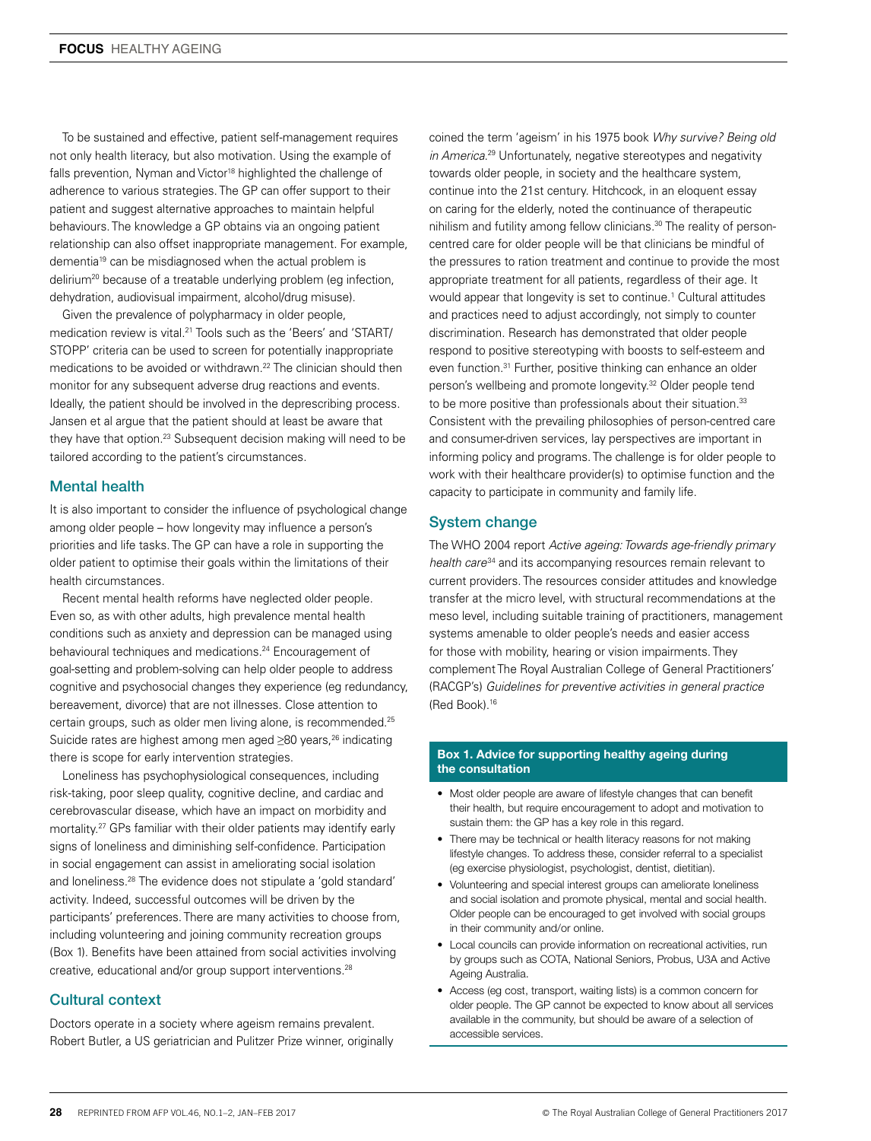To be sustained and effective, patient self-management requires not only health literacy, but also motivation. Using the example of falls prevention, Nyman and Victor<sup>18</sup> highlighted the challenge of adherence to various strategies. The GP can offer support to their patient and suggest alternative approaches to maintain helpful behaviours. The knowledge a GP obtains via an ongoing patient relationship can also offset inappropriate management. For example, dementia19 can be misdiagnosed when the actual problem is delirium<sup>20</sup> because of a treatable underlying problem (eg infection, dehydration, audiovisual impairment, alcohol/drug misuse).

Given the prevalence of polypharmacy in older people, medication review is vital.21 Tools such as the 'Beers' and 'START/ STOPP' criteria can be used to screen for potentially inappropriate medications to be avoided or withdrawn.<sup>22</sup> The clinician should then monitor for any subsequent adverse drug reactions and events. Ideally, the patient should be involved in the deprescribing process. Jansen et al argue that the patient should at least be aware that they have that option.<sup>23</sup> Subsequent decision making will need to be tailored according to the patient's circumstances.

### Mental health

It is also important to consider the influence of psychological change among older people – how longevity may influence a person's priorities and life tasks. The GP can have a role in supporting the older patient to optimise their goals within the limitations of their health circumstances.

Recent mental health reforms have neglected older people. Even so, as with other adults, high prevalence mental health conditions such as anxiety and depression can be managed using behavioural techniques and medications.<sup>24</sup> Encouragement of goal-setting and problem-solving can help older people to address cognitive and psychosocial changes they experience (eg redundancy, bereavement, divorce) that are not illnesses. Close attention to certain groups, such as older men living alone, is recommended.25 Suicide rates are highest among men aged ≥80 years,<sup>26</sup> indicating there is scope for early intervention strategies.

Loneliness has psychophysiological consequences, including risk-taking, poor sleep quality, cognitive decline, and cardiac and cerebrovascular disease, which have an impact on morbidity and mortality.27 GPs familiar with their older patients may identify early signs of loneliness and diminishing self-confidence. Participation in social engagement can assist in ameliorating social isolation and loneliness.28 The evidence does not stipulate a 'gold standard' activity. Indeed, successful outcomes will be driven by the participants' preferences. There are many activities to choose from, including volunteering and joining community recreation groups (Box 1). Benefits have been attained from social activities involving creative, educational and/or group support interventions.28

### Cultural context

Doctors operate in a society where ageism remains prevalent. Robert Butler, a US geriatrician and Pulitzer Prize winner, originally

coined the term 'ageism' in his 1975 book *Why survive? Being old in America*. 29 Unfortunately, negative stereotypes and negativity towards older people, in society and the healthcare system, continue into the 21st century. Hitchcock, in an eloquent essay on caring for the elderly, noted the continuance of therapeutic nihilism and futility among fellow clinicians.<sup>30</sup> The reality of personcentred care for older people will be that clinicians be mindful of the pressures to ration treatment and continue to provide the most appropriate treatment for all patients, regardless of their age. It would appear that longevity is set to continue.<sup>1</sup> Cultural attitudes and practices need to adjust accordingly, not simply to counter discrimination. Research has demonstrated that older people respond to positive stereotyping with boosts to self-esteem and even function.31 Further, positive thinking can enhance an older person's wellbeing and promote longevity.32 Older people tend to be more positive than professionals about their situation.<sup>33</sup> Consistent with the prevailing philosophies of person-centred care and consumer-driven services, lay perspectives are important in informing policy and programs. The challenge is for older people to work with their healthcare provider(s) to optimise function and the capacity to participate in community and family life.

### System change

The WHO 2004 report *Active ageing: Towards age-friendly primary health care*34 and its accompanying resources remain relevant to current providers. The resources consider attitudes and knowledge transfer at the micro level, with structural recommendations at the meso level, including suitable training of practitioners, management systems amenable to older people's needs and easier access for those with mobility, hearing or vision impairments. They complement The Royal Australian College of General Practitioners' (RACGP's) *Guidelines for preventive activities in general practice* (Red Book).16

#### Box 1. Advice for supporting healthy ageing during the consultation

- Most older people are aware of lifestyle changes that can benefit their health, but require encouragement to adopt and motivation to sustain them: the GP has a key role in this regard.
- There may be technical or health literacy reasons for not making lifestyle changes. To address these, consider referral to a specialist (eg exercise physiologist, psychologist, dentist, dietitian).
- Volunteering and special interest groups can ameliorate loneliness and social isolation and promote physical, mental and social health. Older people can be encouraged to get involved with social groups in their community and/or online.
- Local councils can provide information on recreational activities, run by groups such as COTA, National Seniors, Probus, U3A and Active Ageing Australia.
- Access (eg cost, transport, waiting lists) is a common concern for older people. The GP cannot be expected to know about all services available in the community, but should be aware of a selection of accessible services.